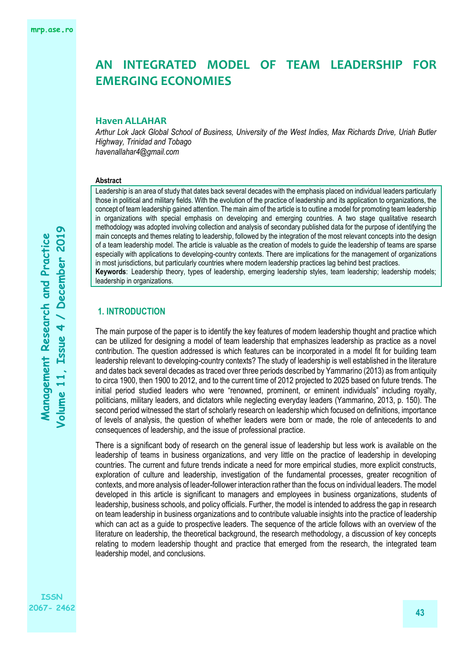# **AN INTEGRATED MODEL OF TEAM LEADERSHIP FOR EMERGING ECONOMIES**

#### **Haven ALLAHAR**

*Arthur Lok Jack Global School of Business, University of the West Indies, Max Richards Drive, Uriah Butler Highway, Trinidad and Tobago havenallahar4@gmail.com*

#### **Abstract**

Leadership is an area of study that dates back several decades with the emphasis placed on individual leaders particularly those in political and military fields. With the evolution of the practice of leadership and its application to organizations, the concept of team leadership gained attention. The main aim of the article is to outline a model for promoting team leadership in organizations with special emphasis on developing and emerging countries. A two stage qualitative research methodology was adopted involving collection and analysis of secondary published data for the purpose of identifying the main concepts and themes relating to leadership, followed by the integration of the most relevant concepts into the design of a team leadership model. The article is valuable as the creation of models to guide the leadership of teams are sparse especially with applications to developing-country contexts. There are implications for the management of organizations in most jurisdictions, but particularly countries where modern leadership practices lag behind best practices. **Keywords**: Leadership theory, types of leadership, emerging leadership styles, team leadership; leadership models; leadership in organizations.

## **1. INTRODUCTION**

The main purpose of the paper is to identify the key features of modern leadership thought and practice which can be utilized for designing a model of team leadership that emphasizes leadership as practice as a novel contribution. The question addressed is which features can be incorporated in a model fit for building team leadership relevant to developing-country contexts? The study of leadership is well established in the literature and dates back several decades as traced over three periods described by Yammarino (2013) as from antiquity to circa 1900, then 1900 to 2012, and to the current time of 2012 projected to 2025 based on future trends. The initial period studied leaders who were "renowned, prominent, or eminent individuals" including royalty, politicians, military leaders, and dictators while neglecting everyday leaders (Yammarino, 2013, p. 150). The second period witnessed the start of scholarly research on leadership which focused on definitions, importance of levels of analysis, the question of whether leaders were born or made, the role of antecedents to and consequences of leadership, and the issue of professional practice.

There is a significant body of research on the general issue of leadership but less work is available on the leadership of teams in business organizations, and very little on the practice of leadership in developing countries. The current and future trends indicate a need for more empirical studies, more explicit constructs, exploration of culture and leadership, investigation of the fundamental processes, greater recognition of contexts, and more analysis of leader-follower interaction rather than the focus on individual leaders. The model developed in this article is significant to managers and employees in business organizations, students of leadership, business schools, and policy officials. Further, the model is intended to address the gap in research on team leadership in business organizations and to contribute valuable insights into the practice of leadership which can act as a guide to prospective leaders. The sequence of the article follows with an overview of the literature on leadership, the theoretical background, the research methodology, a discussion of key concepts relating to modern leadership thought and practice that emerged from the research, the integrated team leadership model, and conclusions.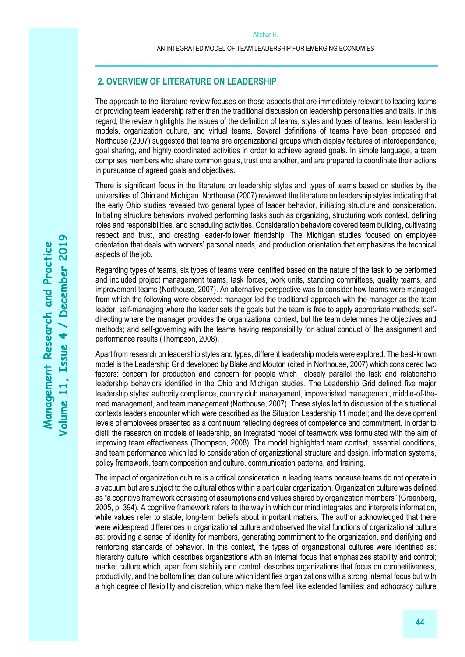## **2. OVERVIEW OF LITERATURE ON LEADERSHIP**

The approach to the literature review focuses on those aspects that are immediately relevant to leading teams or providing team leadership rather than the traditional discussion on leadership personalities and traits. In this regard, the review highlights the issues of the definition of teams, styles and types of teams, team leadership models, organization culture, and virtual teams. Several definitions of teams have been proposed and Northouse (2007) suggested that teams are organizational groups which display features of interdependence, goal sharing, and highly coordinated activities in order to achieve agreed goals. In simple language, a team comprises members who share common goals, trust one another, and are prepared to coordinate their actions in pursuance of agreed goals and objectives.

There is significant focus in the literature on leadership styles and types of teams based on studies by the universities of Ohio and Michigan. Northouse (2007) reviewed the literature on leadership styles indicating that the early Ohio studies revealed two general types of leader behavior, initiating structure and consideration. Initiating structure behaviors involved performing tasks such as organizing, structuring work context, defining roles and responsibilities, and scheduling activities. Consideration behaviors covered team building, cultivating respect and trust, and creating leader-follower friendship. The Michigan studies focused on employee orientation that deals with workers' personal needs, and production orientation that emphasizes the technical aspects of the job.

Regarding types of teams, six types of teams were identified based on the nature of the task to be performed and included project management teams, task forces, work units, standing committees, quality teams, and improvement teams (Northouse, 2007). An alternative perspective was to consider how teams were managed from which the following were observed: manager-led the traditional approach with the manager as the team leader; self-managing where the leader sets the goals but the team is free to apply appropriate methods; selfdirecting where the manager provides the organizational context, but the team determines the objectives and methods; and self-governing with the teams having responsibility for actual conduct of the assignment and performance results (Thompson, 2008).

Apart from research on leadership styles and types, different leadership models were explored. The best-known model is the Leadership Grid developed by Blake and Mouton (cited in Northouse, 2007) which considered two factors: concern for production and concern for people which closely parallel the task and relationship leadership behaviors identified in the Ohio and Michigan studies. The Leadership Grid defined five major leadership styles: authority compliance, country club management, impoverished management, middle-of-theroad management, and team management (Northouse, 2007). These styles led to discussion of the situational contexts leaders encounter which were described as the Situation Leadership 11 model; and the development levels of employees presented as a continuum reflecting degrees of competence and commitment. In order to distil the research on models of leadership, an integrated model of teamwork was formulated with the aim of improving team effectiveness (Thompson, 2008). The model highlighted team context, essential conditions, and team performance which led to consideration of organizational structure and design, information systems, policy framework, team composition and culture, communication patterns, and training.

The impact of organization culture is a critical consideration in leading teams because teams do not operate in a vacuum but are subject to the cultural ethos within a particular organization. Organization culture was defined as "a cognitive framework consisting of assumptions and values shared by organization members" (Greenberg, 2005, p. 394). A cognitive framework refers to the way in which our mind integrates and interprets information, while values refer to stable, long-term beliefs about important matters. The author acknowledged that there were widespread differences in organizational culture and observed the vital functions of organizational culture as: providing a sense of identity for members, generating commitment to the organization, and clarifying and reinforcing standards of behavior. In this context, the types of organizational cultures were identified as: hierarchy culture which describes organizations with an internal focus that emphasizes stability and control; market culture which, apart from stability and control, describes organizations that focus on competitiveness, productivity, and the bottom line; clan culture which identifies organizations with a strong internal focus but with a high degree of flexibility and discretion, which make them feel like extended families; and adhocracy culture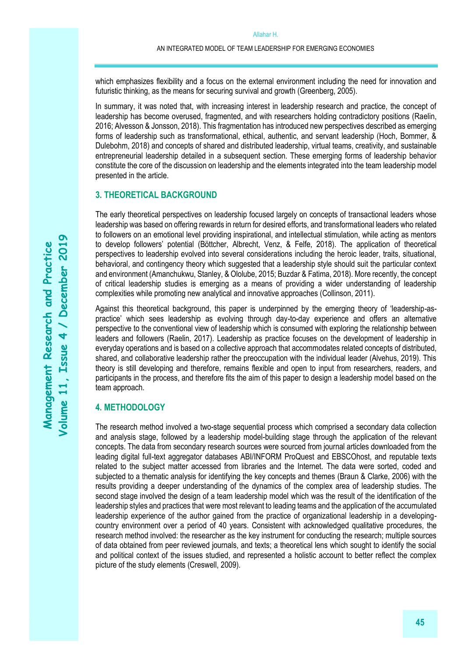which emphasizes flexibility and a focus on the external environment including the need for innovation and futuristic thinking, as the means for securing survival and growth (Greenberg, 2005).

In summary, it was noted that, with increasing interest in leadership research and practice, the concept of leadership has become overused, fragmented, and with researchers holding contradictory positions (Raelin, 2016; Alvesson & Jonsson, 2018). This fragmentation has introduced new perspectives described as emerging forms of leadership such as transformational, ethical, authentic, and servant leadership (Hoch, Bommer, & Dulebohm, 2018) and concepts of shared and distributed leadership, virtual teams, creativity, and sustainable entrepreneurial leadership detailed in a subsequent section. These emerging forms of leadership behavior constitute the core of the discussion on leadership and the elements integrated into the team leadership model presented in the article.

## **3. THEORETICAL BACKGROUND**

The early theoretical perspectives on leadership focused largely on concepts of transactional leaders whose leadership was based on offering rewards in return for desired efforts, and transformational leaders who related to followers on an emotional level providing inspirational, and intellectual stimulation, while acting as mentors to develop followers' potential (Böttcher, Albrecht, Venz, & Felfe, 2018). The application of theoretical perspectives to leadership evolved into several considerations including the heroic leader, traits, situational, behavioral, and contingency theory which suggested that a leadership style should suit the particular context and environment (Amanchukwu, Stanley, & Ololube, 2015; Buzdar & Fatima, 2018). More recently, the concept of critical leadership studies is emerging as a means of providing a wider understanding of leadership complexities while promoting new analytical and innovative approaches (Collinson, 2011).

Against this theoretical background, this paper is underpinned by the emerging theory of 'leadership-aspractice' which sees leadership as evolving through day-to-day experience and offers an alternative perspective to the conventional view of leadership which is consumed with exploring the relationship between leaders and followers (Raelin, 2017). Leadership as practice focuses on the development of leadership in everyday operations and is based on a collective approach that accommodates related concepts of distributed, shared, and collaborative leadership rather the preoccupation with the individual leader (Alvehus, 2019). This theory is still developing and therefore, remains flexible and open to input from researchers, readers, and participants in the process, and therefore fits the aim of this paper to design a leadership model based on the team approach.

## **4. METHODOLOGY**

The research method involved a two-stage sequential process which comprised a secondary data collection and analysis stage, followed by a leadership model-building stage through the application of the relevant concepts. The data from secondary research sources were sourced from journal articles downloaded from the leading digital full-text aggregator databases ABI/INFORM ProQuest and EBSCOhost, and reputable texts related to the subject matter accessed from libraries and the Internet. The data were sorted, coded and subjected to a thematic analysis for identifying the key concepts and themes (Braun & Clarke, 2006) with the results providing a deeper understanding of the dynamics of the complex area of leadership studies. The second stage involved the design of a team leadership model which was the result of the identification of the leadership styles and practices that were most relevant to leading teams and the application of the accumulated leadership experience of the author gained from the practice of organizational leadership in a developingcountry environment over a period of 40 years. Consistent with acknowledged qualitative procedures, the research method involved: the researcher as the key instrument for conducting the research; multiple sources of data obtained from peer reviewed journals, and texts; a theoretical lens which sought to identify the social and political context of the issues studied, and represented a holistic account to better reflect the complex picture of the study elements (Creswell, 2009).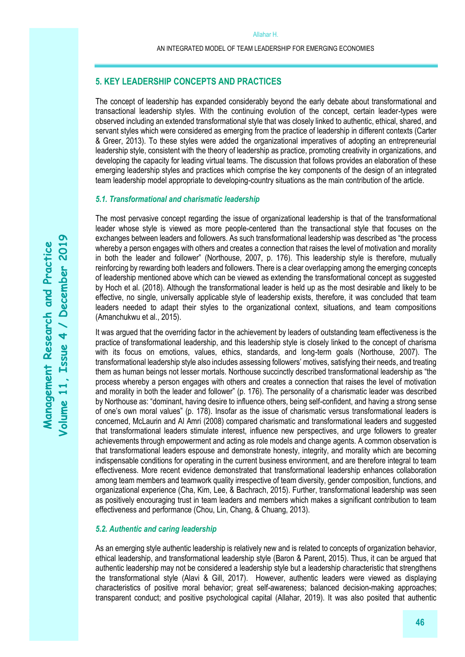## **5. KEY LEADERSHIP CONCEPTS AND PRACTICES**

The concept of leadership has expanded considerably beyond the early debate about transformational and transactional leadership styles. With the continuing evolution of the concept, certain leader-types were observed including an extended transformational style that was closely linked to authentic, ethical, shared, and servant styles which were considered as emerging from the practice of leadership in different contexts (Carter & Greer, 2013). To these styles were added the organizational imperatives of adopting an entrepreneurial leadership style, consistent with the theory of leadership as practice, promoting creativity in organizations, and developing the capacity for leading virtual teams. The discussion that follows provides an elaboration of these emerging leadership styles and practices which comprise the key components of the design of an integrated team leadership model appropriate to developing-country situations as the main contribution of the article.

#### *5.1. Transformational and charismatic leadership*

The most pervasive concept regarding the issue of organizational leadership is that of the transformational leader whose style is viewed as more people-centered than the transactional style that focuses on the exchanges between leaders and followers. As such transformational leadership was described as "the process whereby a person engages with others and creates a connection that raises the level of motivation and morality in both the leader and follower" (Northouse, 2007, p. 176). This leadership style is therefore, mutually reinforcing by rewarding both leaders and followers. There is a clear overlapping among the emerging concepts of leadership mentioned above which can be viewed as extending the transformational concept as suggested by Hoch et al. (2018). Although the transformational leader is held up as the most desirable and likely to be effective, no single, universally applicable style of leadership exists, therefore, it was concluded that team leaders needed to adapt their styles to the organizational context, situations, and team compositions (Amanchukwu et al., 2015).

It was argued that the overriding factor in the achievement by leaders of outstanding team effectiveness is the practice of transformational leadership, and this leadership style is closely linked to the concept of charisma with its focus on emotions, values, ethics, standards, and long-term goals (Northouse, 2007). The transformational leadership style also includes assessing followers' motives, satisfying their needs, and treating them as human beings not lesser mortals. Northouse succinctly described transformational leadership as "the process whereby a person engages with others and creates a connection that raises the level of motivation and morality in both the leader and follower" (p. 176). The personality of a charismatic leader was described by Northouse as: "dominant, having desire to influence others, being self-confident, and having a strong sense of one's own moral values" (p. 178). Insofar as the issue of charismatic versus transformational leaders is concerned, McLaurin and Al Amri (2008) compared charismatic and transformational leaders and suggested that transformational leaders stimulate interest, influence new perspectives, and urge followers to greater achievements through empowerment and acting as role models and change agents. A common observation is that transformational leaders espouse and demonstrate honesty, integrity, and morality which are becoming indispensable conditions for operating in the current business environment, and are therefore integral to team effectiveness. More recent evidence demonstrated that transformational leadership enhances collaboration among team members and teamwork quality irrespective of team diversity, gender composition, functions, and organizational experience (Cha, Kim, Lee, & Bachrach, 2015). Further, transformational leadership was seen as positively encouraging trust in team leaders and members which makes a significant contribution to team effectiveness and performance (Chou, Lin, Chang, & Chuang, 2013).

#### *5.2. Authentic and caring leadership*

As an emerging style authentic leadership is relatively new and is related to concepts of organization behavior, ethical leadership, and transformational leadership style (Baron & Parent, 2015). Thus, it can be argued that authentic leadership may not be considered a leadership style but a leadership characteristic that strengthens the transformational style (Alavi & Gill, 2017). However, authentic leaders were viewed as displaying characteristics of positive moral behavior; great self-awareness; balanced decision-making approaches; transparent conduct; and positive psychological capital (Allahar, 2019). It was also posited that authentic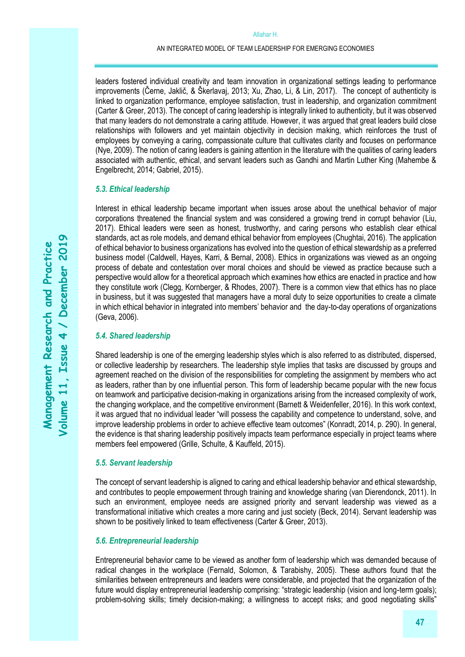leaders fostered individual creativity and team innovation in organizational settings leading to performance improvements (Černe, Jaklič, & Škerlavaj, 2013; Xu, Zhao, Li, & Lin, 2017). The concept of authenticity is linked to organization performance, employee satisfaction, trust in leadership, and organization commitment (Carter & Greer, 2013). The concept of caring leadership is integrally linked to authenticity, but it was observed that many leaders do not demonstrate a caring attitude. However, it was argued that great leaders build close relationships with followers and yet maintain objectivity in decision making, which reinforces the trust of employees by conveying a caring, compassionate culture that cultivates clarity and focuses on performance (Nye, 2009). The notion of caring leaders is gaining attention in the literature with the qualities of caring leaders associated with authentic, ethical, and servant leaders such as Gandhi and Martin Luther King (Mahembe & Engelbrecht, 2014; Gabriel, 2015).

#### *5.3. Ethical leadership*

Interest in ethical leadership became important when issues arose about the unethical behavior of major corporations threatened the financial system and was considered a growing trend in corrupt behavior (Liu, 2017). Ethical leaders were seen as honest, trustworthy, and caring persons who establish clear ethical standards, act as role models, and demand ethical behavior from employees (Chughtai, 2016). The application of ethical behavior to business organizations has evolved into the question of ethical stewardship as a preferred business model (Caldwell, Hayes, Karri, & Bernal, 2008). Ethics in organizations was viewed as an ongoing process of debate and contestation over moral choices and should be viewed as practice because such a perspective would allow for a theoretical approach which examines how ethics are enacted in practice and how they constitute work (Clegg, Kornberger, & Rhodes, 2007). There is a common view that ethics has no place in business, but it was suggested that managers have a moral duty to seize opportunities to create a climate in which ethical behavior in integrated into members' behavior and the day-to-day operations of organizations (Geva, 2006).

## *5.4. Shared leadership*

Shared leadership is one of the emerging leadership styles which is also referred to as distributed, dispersed, or collective leadership by researchers. The leadership style implies that tasks are discussed by groups and agreement reached on the division of the responsibilities for completing the assignment by members who act as leaders, rather than by one influential person. This form of leadership became popular with the new focus on teamwork and participative decision-making in organizations arising from the increased complexity of work, the changing workplace, and the competitive environment (Barnett & Weidenfeller, 2016). In this work context, it was argued that no individual leader "will possess the capability and competence to understand, solve, and improve leadership problems in order to achieve effective team outcomes" (Konradt, 2014, p. 290). In general, the evidence is that sharing leadership positively impacts team performance especially in project teams where members feel empowered (Grille, Schulte, & Kauffeld, 2015).

#### *5.5. Servant leadership*

The concept of servant leadership is aligned to caring and ethical leadership behavior and ethical stewardship, and contributes to people empowerment through training and knowledge sharing (van Dierendonck, 2011). In such an environment, employee needs are assigned priority and servant leadership was viewed as a transformational initiative which creates a more caring and just society (Beck, 2014). Servant leadership was shown to be positively linked to team effectiveness (Carter & Greer, 2013).

### *5.6. Entrepreneurial leadership*

Entrepreneurial behavior came to be viewed as another form of leadership which was demanded because of radical changes in the workplace (Fernald, Solomon, & Tarabishy, 2005). These authors found that the similarities between entrepreneurs and leaders were considerable, and projected that the organization of the future would display entrepreneurial leadership comprising: "strategic leadership (vision and long-term goals); problem-solving skills; timely decision-making; a willingness to accept risks; and good negotiating skills"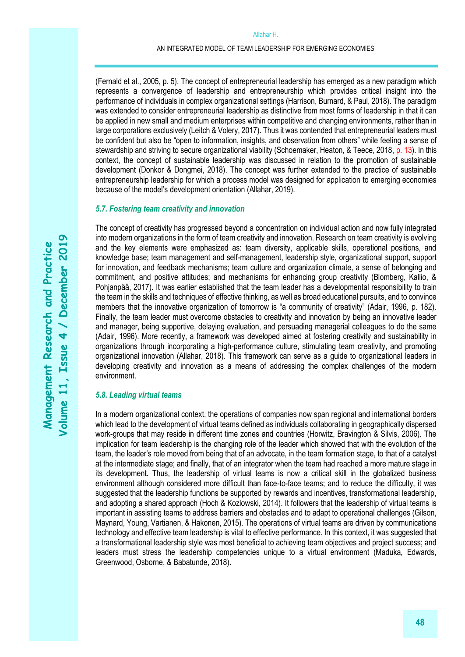(Fernald et al., 2005, p. 5). The concept of entrepreneurial leadership has emerged as a new paradigm which represents a convergence of leadership and entrepreneurship which provides critical insight into the performance of individuals in complex organizational settings (Harrison, Burnard, & Paul, 2018). The paradigm was extended to consider entrepreneurial leadership as distinctive from most forms of leadership in that it can be applied in new small and medium enterprises within competitive and changing environments, rather than in large corporations exclusively (Leitch & Volery, 2017). Thus it was contended that entrepreneurial leaders must be confident but also be "open to information, insights, and observation from others" while feeling a sense of stewardship and striving to secure organizational viability (Schoemaker, Heaton, & Teece, 2018, p. 13). In this context, the concept of sustainable leadership was discussed in relation to the promotion of sustainable development (Donkor & Dongmei, 2018). The concept was further extended to the practice of sustainable entrepreneurship leadership for which a process model was designed for application to emerging economies because of the model's development orientation (Allahar, 2019).

#### *5.7. Fostering team creativity and innovation*

The concept of creativity has progressed beyond a concentration on individual action and now fully integrated into modern organizations in the form of team creativity and innovation. Research on team creativity is evolving and the key elements were emphasized as: team diversity, applicable skills, operational positions, and knowledge base; team management and self-management, leadership style, organizational support, support for innovation, and feedback mechanisms; team culture and organization climate, a sense of belonging and commitment, and positive attitudes; and mechanisms for enhancing group creativity (Blomberg, Kallio, & Pohjanpää, 2017). It was earlier established that the team leader has a developmental responsibility to train the team in the skills and techniques of effective thinking, as well as broad educational pursuits, and to convince members that the innovative organization of tomorrow is "a community of creativity" (Adair, 1996, p. 182). Finally, the team leader must overcome obstacles to creativity and innovation by being an innovative leader and manager, being supportive, delaying evaluation, and persuading managerial colleagues to do the same (Adair, 1996). More recently, a framework was developed aimed at fostering creativity and sustainability in organizations through incorporating a high-performance culture, stimulating team creativity, and promoting organizational innovation (Allahar, 2018). This framework can serve as a guide to organizational leaders in developing creativity and innovation as a means of addressing the complex challenges of the modern environment.

### *5.8. Leading virtual teams*

In a modern organizational context, the operations of companies now span regional and international borders which lead to the development of virtual teams defined as individuals collaborating in geographically dispersed work-groups that may reside in different time zones and countries (Horwitz, Bravington & Silvis, 2006). The implication for team leadership is the changing role of the leader which showed that with the evolution of the team, the leader's role moved from being that of an advocate, in the team formation stage, to that of a catalyst at the intermediate stage; and finally, that of an integrator when the team had reached a more mature stage in its development. Thus, the leadership of virtual teams is now a critical skill in the globalized business environment although considered more difficult than face-to-face teams; and to reduce the difficulty, it was suggested that the leadership functions be supported by rewards and incentives, transformational leadership, and adopting a shared approach (Hoch & Kozlowski, 2014). It followers that the leadership of virtual teams is important in assisting teams to address barriers and obstacles and to adapt to operational challenges (Gilson, Maynard, Young, Vartianen, & Hakonen, 2015). The operations of virtual teams are driven by communications technology and effective team leadership is vital to effective performance. In this context, it was suggested that a transformational leadership style was most beneficial to achieving team objectives and project success; and leaders must stress the leadership competencies unique to a virtual environment (Maduka, Edwards, Greenwood, Osborne, & Babatunde, 2018).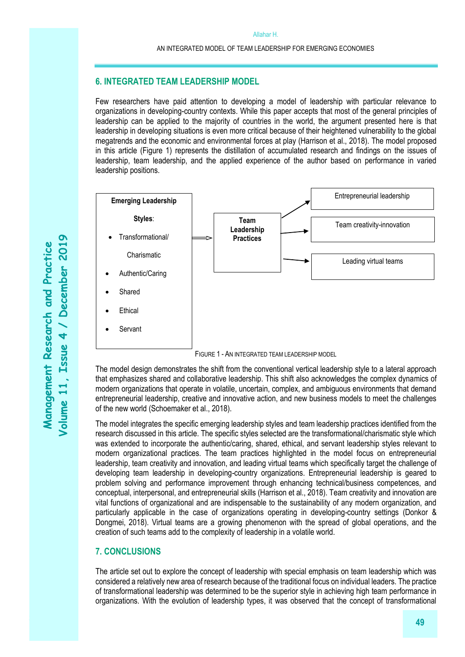## **6. INTEGRATED TEAM LEADERSHIP MODEL**

Few researchers have paid attention to developing a model of leadership with particular relevance to organizations in developing-country contexts. While this paper accepts that most of the general principles of leadership can be applied to the majority of countries in the world, the argument presented here is that leadership in developing situations is even more critical because of their heightened vulnerability to the global megatrends and the economic and environmental forces at play (Harrison et al., 2018). The model proposed in this article (Figure 1) represents the distillation of accumulated research and findings on the issues of leadership, team leadership, and the applied experience of the author based on performance in varied leadership positions.



FIGURE 1 - AN INTEGRATED TEAM LEADERSHIP MODEL

The model design demonstrates the shift from the conventional vertical leadership style to a lateral approach that emphasizes shared and collaborative leadership. This shift also acknowledges the complex dynamics of modern organizations that operate in volatile, uncertain, complex, and ambiguous environments that demand entrepreneurial leadership, creative and innovative action, and new business models to meet the challenges of the new world (Schoemaker et al., 2018).

The model integrates the specific emerging leadership styles and team leadership practices identified from the research discussed in this article. The specific styles selected are the transformational/charismatic style which was extended to incorporate the authentic/caring, shared, ethical, and servant leadership styles relevant to modern organizational practices. The team practices highlighted in the model focus on entrepreneurial leadership, team creativity and innovation, and leading virtual teams which specifically target the challenge of developing team leadership in developing-country organizations. Entrepreneurial leadership is geared to problem solving and performance improvement through enhancing technical/business competences, and conceptual, interpersonal, and entrepreneurial skills (Harrison et al., 2018). Team creativity and innovation are vital functions of organizational and are indispensable to the sustainability of any modern organization, and particularly applicable in the case of organizations operating in developing-country settings (Donkor & Dongmei, 2018). Virtual teams are a growing phenomenon with the spread of global operations, and the creation of such teams add to the complexity of leadership in a volatile world.

# **7. CONCLUSIONS**

The article set out to explore the concept of leadership with special emphasis on team leadership which was considered a relatively new area of research because of the traditional focus on individual leaders. The practice of transformational leadership was determined to be the superior style in achieving high team performance in organizations. With the evolution of leadership types, it was observed that the concept of transformational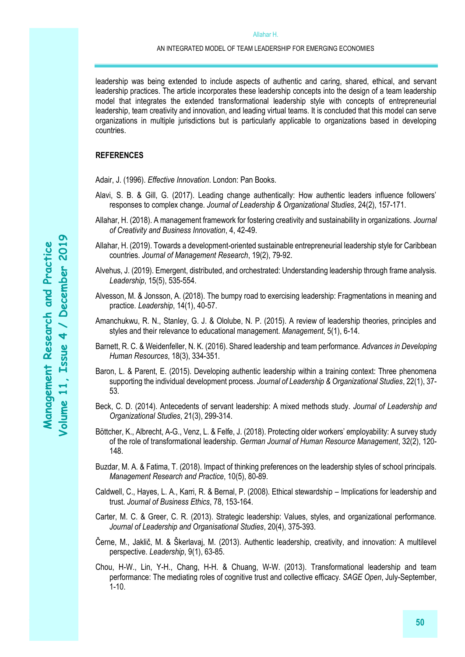leadership was being extended to include aspects of authentic and caring, shared, ethical, and servant leadership practices. The article incorporates these leadership concepts into the design of a team leadership model that integrates the extended transformational leadership style with concepts of entrepreneurial leadership, team creativity and innovation, and leading virtual teams. It is concluded that this model can serve organizations in multiple jurisdictions but is particularly applicable to organizations based in developing countries.

#### **REFERENCES**

Adair, J. (1996). *Effective Innovation*. London: Pan Books.

- Alavi, S. B. & Gill, G. (2017). Leading change authentically: How authentic leaders influence followers' responses to complex change. *Journal of Leadership & Organizational Studies*, 24(2), 157-171.
- Allahar, H. (2018). A management framework for fostering creativity and sustainability in organizations. *Journal of Creativity and Business Innovation*, 4, 42-49.
- Allahar, H. (2019). Towards a development-oriented sustainable entrepreneurial leadership style for Caribbean countries. *Journal of Management Research*, 19(2), 79-92.
- Alvehus, J. (2019). Emergent, distributed, and orchestrated: Understanding leadership through frame analysis. *Leadership*, 15(5), 535-554.
- Alvesson, M. & Jonsson, A. (2018). The bumpy road to exercising leadership: Fragmentations in meaning and practice. *Leadership*, 14(1), 40-57.
- Amanchukwu, R. N., Stanley, G. J. & Ololube, N. P. (2015). A review of leadership theories, principles and styles and their relevance to educational management. *Management*, 5(1), 6-14.
- Barnett, R. C. & Weidenfeller, N. K. (2016). Shared leadership and team performance. *Advances in Developing Human Resources*, 18(3), 334-351.
- Baron, L. & Parent, E. (2015). Developing authentic leadership within a training context: Three phenomena supporting the individual development process. *Journal of Leadership & Organizational Studies*, 22(1), 37- 53.
- Beck, C. D. (2014). Antecedents of servant leadership: A mixed methods study. *Journal of Leadership and Organizational Studies*, 21(3), 299-314.
- Böttcher, K., Albrecht, A-G., Venz, L. & Felfe, J. (2018). Protecting older workers' employability: A survey study of the role of transformational leadership. *German Journal of Human Resource Management*, 32(2), 120- 148.
- Buzdar, M. A. & Fatima, T. (2018). Impact of thinking preferences on the leadership styles of school principals. *Management Research and Practice*, 10(5), 80-89.
- Caldwell, C., Hayes, L. A., Karri, R. & Bernal, P. (2008). Ethical stewardship Implications for leadership and trust. *Journal of Business Ethics*, 78, 153-164.
- Carter, M. C. & Greer, C. R. (2013). Strategic leadership: Values, styles, and organizational performance. *Journal of Leadership and Organisational Studies*, 20(4), 375-393.
- Černe, M., Jaklič, M. & Škerlavaj, M. (2013). Authentic leadership, creativity, and innovation: A multilevel perspective. *Leadership*, 9(1), 63-85.
- Chou, H-W., Lin, Y-H., Chang, H-H. & Chuang, W-W. (2013). Transformational leadership and team performance: The mediating roles of cognitive trust and collective efficacy. *SAGE Open*, July-September, 1-10.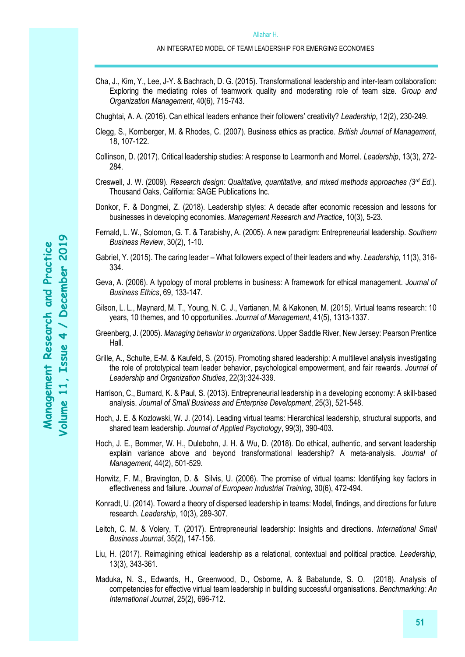- Cha, J., Kim, Y., Lee, J-Y. & Bachrach, D. G. (2015). Transformational leadership and inter-team collaboration: Exploring the mediating roles of teamwork quality and moderating role of team size. *Group and Organization Management*, 40(6), 715-743.
- Chughtai, A. A. (2016). Can ethical leaders enhance their followers' creativity? *Leadership*, 12(2), 230-249.
- Clegg, S., Kornberger, M. & Rhodes, C. (2007). Business ethics as practice. *British Journal of Management*, 18, 107-122.
- Collinson, D. (2017). Critical leadership studies: A response to Learmonth and Morrel. *Leadership*, 13(3), 272- 284.
- Creswell, J. W. (2009). *Research design: Qualitative, quantitative, and mixed methods approaches (3rd Ed.*). Thousand Oaks, California: SAGE Publications Inc.
- Donkor, F. & Dongmei, Z. (2018). Leadership styles: A decade after economic recession and lessons for businesses in developing economies. *Management Research and Practice*, 10(3), 5-23.
- Fernald, L. W., Solomon, G. T. & Tarabishy, A. (2005). A new paradigm: Entrepreneurial leadership. *Southern Business Review*, 30(2), 1-10.
- Gabriel, Y. (2015). The caring leader What followers expect of their leaders and why. *Leadership,* 11(3), 316- 334.
- Geva, A. (2006). A typology of moral problems in business: A framework for ethical management. *Journal of Business Ethics*, 69, 133-147.
- Gilson, L. L., Maynard, M. T., Young, N. C. J., Vartianen, M. & Kakonen, M. (2015). Virtual teams research: 10 years, 10 themes, and 10 opportunities. *Journal of Management*, 41(5), 1313-1337.
- Greenberg, J. (2005). *Managing behavior in organizations*. Upper Saddle River, New Jersey: Pearson Prentice Hall.
- Grille, A., Schulte, E-M. & Kaufeld, S. (2015). Promoting shared leadership: A multilevel analysis investigating the role of prototypical team leader behavior, psychological empowerment, and fair rewards. *Journal of Leadership and Organization Studies*, 22(3):324-339.
- Harrison, C., Burnard, K. & Paul, S. (2013). Entrepreneurial leadership in a developing economy: A skill-based analysis. *Journal of Small Business and Enterprise Development*, 25(3), 521-548.
- Hoch, J. E. & Kozlowski, W. J. (2014). Leading virtual teams: Hierarchical leadership, structural supports, and shared team leadership. *Journal of Applied Psychology*, 99(3), 390-403.
- Hoch, J. E., Bommer, W. H., Dulebohn, J. H. & Wu, D. (2018). Do ethical, authentic, and servant leadership explain variance above and beyond transformational leadership? A meta-analysis. *Journal of Management*, 44(2), 501-529.
- [Horwitz,](javascript:void(0);) F. M., [Bravington,](javascript:void(0);) D. & [Silvis,](javascript:void(0);) U. (2006). The promise of virtual teams: Identifying key factors in effectiveness and failure. *[Journal of European Industrial Training,](http://proquest.umi.com.ezproxy.apus.edu/pqdweb?RQT=318&pmid=14841&TS=1244124109&clientId=62546&VInst=PROD&VName=PQD&VType=PQD)* 30(6), 472-494.
- Konradt, U. (2014). Toward a theory of dispersed leadership in teams: Model, findings, and directions for future research. *Leadership*, 10(3), 289-307.
- Leitch, C. M. & Volery, T. (2017). Entrepreneurial leadership: Insights and directions. *International Small Business Journal*, 35(2), 147-156.
- Liu, H. (2017). Reimagining ethical leadership as a relational, contextual and political practice. *Leadership*, 13(3), 343-361.
- Maduka, N. S., Edwards, H., Greenwood, D., Osborne, A. & Babatunde, S. O. (2018). Analysis of competencies for effective virtual team leadership in building successful organisations. *Benchmarking: An International Journal*, 25(2), 696-712.